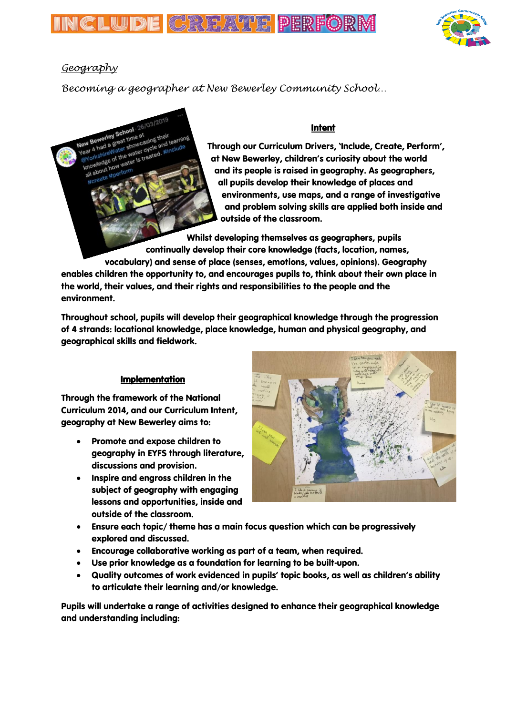



## *Geography*

*Becoming a geographer at New Bewerley Community School…*

## Intent

Through our Curriculum Drivers, 'Include, Create, Perform', at New Bewerley, children's curiosity about the world and its people is raised in geography. As geographers, all pupils develop their knowledge of places and environments, use maps, and a range of investigative and problem solving skills are applied both inside and outside of the classroom.

Whilst developing themselves as geographers, pupils continually develop their core knowledge (facts, location, names, vocabulary) and sense of place (senses, emotions, values, opinions). Geography enables children the opportunity to, and encourages pupils to, think about their own place in the world, their values, and their rights and responsibilities to the people and the environment.

Throughout school, pupils will develop their geographical knowledge through the progression of 4 strands: locational knowledge, place knowledge, human and physical geography, and geographical skills and fieldwork.

## Implementation

Through the framework of the National Curriculum 2014, and our Curriculum Intent, geography at New Bewerley aims to:

- Promote and expose children to geography in EYFS through literature, discussions and provision.
- Inspire and engross children in the subject of geography with engaging lessons and opportunities, inside and outside of the classroom.



- Ensure each topic/ theme has a main focus question which can be progressively explored and discussed.
- Encourage collaborative working as part of a team, when required.
- Use prior knowledge as a foundation for learning to be built-upon.
- Quality outcomes of work evidenced in pupils' topic books, as well as children's ability to articulate their learning and/or knowledge.

Pupils will undertake a range of activities designed to enhance their geographical knowledge and understanding including: